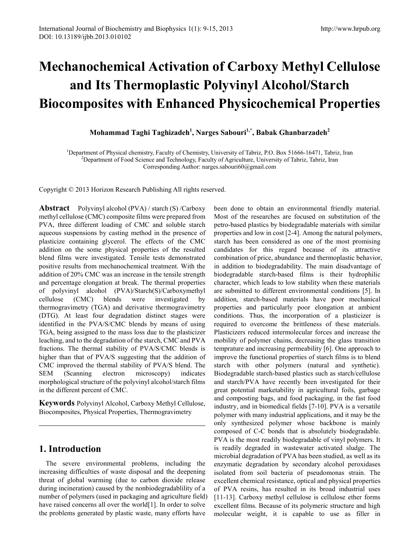# **Mechanochemical Activation of Carboxy Methyl Cellulose and Its Thermoplastic Polyvinyl Alcohol/Starch Biocomposites with Enhanced Physicochemical Properties**

**Mohammad Taghi Taghizadeh1 , Narges Sabouri1,\* , Babak Ghanbarzadeh<sup>2</sup>**

<sup>1</sup>Department of Physical chemistry, Faculty of Chemistry, University of Tabriz, P.O. Box 51666-16471, Tabriz, Iran <sup>2</sup>Department of Food Science and Technology, Faculty of Agriculture, University of Tabriz, Tabriz, Iran  $P^2$ Department of Food Science and Technology, Faculty of Agriculture, University of Tabriz, Tabriz, Iran Corresponding Author: narges.sabouri60@gmail.com

Copyright © 2013 Horizon Research Publishing All rights reserved.

**Abstract** Polyvinyl alcohol (PVA) / starch (S) /Carboxy methyl cellulose (CMC) composite films were prepared from PVA, three different loading of CMC and soluble starch aqueous suspensions by casting method in the presence of plasticize containing glycerol. The effects of the CMC addition on the some physical properties of the resulted blend films were investigated. Tensile tests demonstrated positive results from mechanochemical treatment. With the addition of 20% CMC was an increase in the tensile strength and percentage elongation at break. The thermal properties of polyvinyl alcohol (PVA)/Starch(S)/Carboxymethyl cellulose (CMC) blends were investigated by thermogravimetry (TGA) and derivative thermogravimetry (DTG). At least four degradation distinct stages were identified in the PVA/S/CMC blends by means of using TGA, being assigned to the mass loss due to the plasticizer leaching, and to the degradation of the starch, CMC and PVA fractions. The thermal stability of PVA/S/CMC blends is higher than that of PVA/S suggesting that the addition of CMC improved the thermal stability of PVA/S blend. The SEM (Scanning electron microscopy) indicates morphological structure of the polyvinyl alcohol/starch films in the different percent of CMC.

**Keywords** Polyvinyl Alcohol, Carboxy Methyl Cellulose, Biocomposites, Physical Properties, Thermogravimetry

## **1. Introduction**

The severe environmental problems, including the increasing difficulties of waste disposal and the deepening threat of global warming (due to carbon dioxide release during incineration) caused by the nonbiodegradablility of a number of polymers (used in packaging and agriculture field) have raised concerns all over the world[1]. In order to solve the problems generated by plastic waste, many efforts have

been done to obtain an environmental friendly material. Most of the researches are focused on substitution of the petro-based plastics by biodegradable materials with similar properties and low in cost [2-4]. Among the natural polymers, starch has been considered as one of the most promising candidates for this regard because of its attractive combination of price, abundance and thermoplastic behavior, in addition to biodegradability. The main disadvantage of biodegradable starch-based films is their hydrophilic character, which leads to low stability when these materials are submitted to different environmental conditions [5]. In addition, starch-based materials have poor mechanical properties and particularly poor elongation at ambient conditions. Thus, the incorporation of a plasticizer is required to overcome the brittleness of these materials. Plasticizers reduced intermolecular forces and increase the mobility of polymer chains, decreasing the glass transition temprature and increasing permeability [6]. One approach to improve the functional properties of starch films is to blend starch with other polymers (natural and synthetic). Biodegradable starch-based plastics such as starch/cellulose and starch/PVA have recently been investigated for their great potential marketability in agricultural foils, garbage and composting bags, and food packaging, in the fast food industry, and in biomedical fields [7-10]. PVA is a versatile polymer with many industrial applications, and it may be the only synthesized polymer whose backbone is mainly composed of C-C bonds that is absolutely biodegradable. PVA is the most readily biodegradable of vinyl polymers. It is readily degraded in wastewater activated sludge. The microbial degradation of PVA has been studied, as well as its enzymatic degradation by secondary alcohol peroxidases isolated from soil bacteria of pseudomonas strain. The excellent chemical resistance, optical and physical properties of PVA resins, has resulted in its broad industrial uses [11-13]. Carboxy methyl cellulose is cellulose ether forms excellent films. Because of its polymeric structure and high molecular weight, it is capable to use as filler in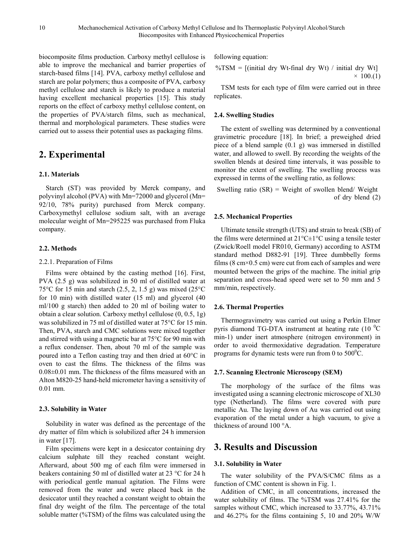biocomposite films production. Carboxy methyl cellulose is able to improve the mechanical and barrier properties of starch-based films [14]. PVA, carboxy methyl cellulose and starch are polar polymers; thus a composite of PVA, carboxy methyl cellulose and starch is likely to produce a material having excellent mechanical properties [15]. This study reports on the effect of carboxy methyl cellulose content, on the properties of PVA/starch films, such as mechanical, thermal and morphological parameters. These studies were carried out to assess their potential uses as packaging films.

# **2. Experimental**

## **2.1. Materials**

Starch (ST) was provided by Merck company, and polyvinyl alcohol (PVA) with Mn=72000 and glycerol (Mn= 92/10, 78% purity) purchased from Merck company. Carboxymethyl cellulose sodium salt, with an average molecular weight of Mn=295225 was purchased from Fluka company.

## **2.2. Methods**

### 2.2.1. Preparation of Films

Films were obtained by the casting method [16]. First, PVA (2.5 g) was solubilized in 50 ml of distilled water at 75 $\rm ^{o}C$  for 15 min and starch (2.5, 2, 1.5 g) was mixed (25 $\rm ^{o}C$ for 10 min) with distilled water (15 ml) and glycerol (40 ml/100 g starch) then added to 20 ml of boiling water to obtain a clear solution. Carboxy methyl cellulose (0, 0.5, 1g) was solubilized in 75 ml of distilled water at 75°C for 15 min. Then, PVA, starch and CMC solutions were mixed together and stirred with using a magnetic bar at 75°C for 90 min with a reflux condenser. Then, about 70 ml of the sample was poured into a Teflon casting tray and then dried at 60°C in oven to cast the films. The thickness of the films was 0.08±0.01 mm. The thickness of the films measured with an Alton M820-25 hand-held micrometer having a sensitivity of 0.01 mm.

### **2.3. Solubility in Water**

Solubility in water was defined as the percentage of the dry matter of film which is solubilized after 24 h immersion in water [17].

Film specimens were kept in a desiccator containing dry calcium sulphate till they reached constant weight. Afterward, about 500 mg of each film were immersed in beakers containing 50 ml of distilled water at 23 °C for 24 h with periodical gentle manual agitation. The Films were removed from the water and were placed back in the desiccator until they reached a constant weight to obtain the final dry weight of the film. The percentage of the total soluble matter (%TSM) of the films was calculated using the

following equation:

$$
\%TSM = [(\text{initial dry Wt-final dry Wt}) / \text{initial dry Wt}] \times 100.(1)
$$

TSM tests for each type of film were carried out in three replicates.

## **2.4. Swelling Studies**

The extent of swelling was determined by a conventional gravimetric procedure [18]. In brief; a preweighed dried piece of a blend sample (0.1 g) was immersed in distilled water, and allowed to swell. By recording the weights of the swollen blends at desired time intervals, it was possible to monitor the extent of swelling. The swelling process was expressed in terms of the swelling ratio, as follows:

Swelling ratio  $(SR)$  = Weight of swollen blend/Weight of dry blend (2)

### **2.5. Mechanical Properties**

Ultimate tensile strength (UTS) and strain to break (SB) of the films were determined at  $21^{\circ}$ C $\pm 1^{\circ}$ C using a tensile tester (Zwick/Roell model FR010, Germany) according to ASTM standard method D882-91 [19]. Three dumbbelly forms films ( $8 \text{ cm} \times 0.5 \text{ cm}$ ) were cut from each of samples and were mounted between the grips of the machine. The initial grip separation and cross-head speed were set to 50 mm and 5 mm/min, respectively.

### **2.6. Thermal Properties**

Thermogravimetry was carried out using a Perkin Elmer pyris diamond TG-DTA instrument at heating rate (10 $\mathrm{^{0}C}$ min-1) under inert atmosphere (nitrogen environment) in order to avoid thermoxidative degradation. Temperature programs for dynamic tests were run from 0 to  $500^{\circ}$ C.

### **2.7. Scanning Electronic Microscopy (SEM)**

The morphology of the surface of the films was investigated using a scanning electronic microscope of XL30 type (Netherland). The films were covered with pure metallic Au. The laying down of Au was carried out using evaporation of the metal under a high vacuum, to give a thickness of around 100 °A.

# **3. Results and Discussion**

### **3.1. Solubility in Water**

The water solubility of the PVA/S/CMC films as a function of CMC content is shown in Fig. 1.

Addition of CMC, in all concentrations, increased the water solubility of films. The %TSM was 27.41% for the samples without CMC, which increased to 33.77%, 43.71% and 46.27% for the films containing 5, 10 and 20% W/W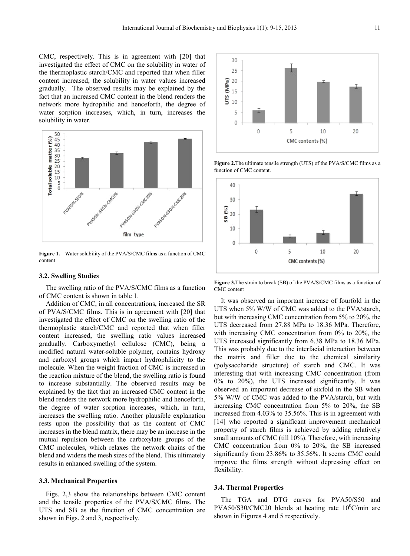CMC, respectively. This is in agreement with [20] that investigated the effect of CMC on the solubility in water of the thermoplastic starch/CMC and reported that when filler content increased, the solubility in water values increased gradually. The observed results may be explained by the fact that an increased CMC content in the blend renders the network more hydrophilic and henceforth, the degree of water sorption increases, which, in turn, increases the solubility in water.



**Figure 1.** Water solubility of the PVA/S/CMC films as a function of CMC content

#### **3.2. Swelling Studies**

The swelling ratio of the PVA/S/CMC films as a function of CMC content is shown in table 1.

Addition of CMC, in all concentrations, increased the SR of PVA/S/CMC films. This is in agreement with [20] that investigated the effect of CMC on the swelling ratio of the thermoplastic starch/CMC and reported that when filler content increased, the swelling ratio values increased gradually. Carboxymethyl cellulose (CMC), being a modified natural water-soluble polymer, contains hydroxy and carboxyl groups which impart hydrophilicity to the molecule. When the weight fraction of CMC is increased in the reaction mixture of the blend, the swelling ratio is found to increase substantially. The observed results may be explained by the fact that an increased CMC content in the blend renders the network more hydrophilic and henceforth, the degree of water sorption increases, which, in turn, increases the swelling ratio. Another plausible explanation rests upon the possibility that as the content of CMC increases in the blend matrix, there may be an increase in the mutual repulsion between the carboxylate groups of the CMC molecules, which relaxes the network chains of the blend and widens the mesh sizes of the blend. This ultimately results in enhanced swelling of the system.

#### **3.3. Mechanical Properties**

Figs. 2,3 show the relationships between CMC content and the tensile properties of the PVA/S/CMC films. The UTS and SB as the function of CMC concentration are shown in Figs. 2 and 3, respectively.



**Figure 2.**The ultimate tensile strength (UTS) of the PVA/S/CMC films as a function of CMC content.



**Figure 3.**The strain to break (SB) of the PVA/S/CMC films as a function of CMC content

It was observed an important increase of fourfold in the UTS when 5% W/W of CMC was added to the PVA/starch, but with increasing CMC concentration from 5% to 20%, the UTS decreased from 27.88 MPa to 18.36 MPa. Therefore, with increasing CMC concentration from 0% to 20%, the UTS increased significantly from 6.38 MPa to 18.36 MPa. This was probably due to the interfacial interaction between the matrix and filler due to the chemical similarity (polysaccharide structure) of starch and CMC. It was interesting that with increasing CMC concentration (from 0% to 20%), the UTS increased significantly. It was observed an important decrease of sixfold in the SB when 5% W/W of CMC was added to the PVA/starch, but with increasing CMC concentration from 5% to 20%, the SB increased from 4.03% to 35.56%. This is in agreement with [14] who reported a significant improvement mechanical property of starch films is achieved by adding relatively small amounts of CMC (till 10%). Therefore, with increasing CMC concentration from 0% to 20%, the SB increased significantly from 23.86% to 35.56%. It seems CMC could improve the films strength without depressing effect on flexibility.

#### **3.4. Thermal Properties**

The TGA and DTG curves for PVA50/S50 and  $PVA50/S30/CMC20$  blends at heating rate  $10^{0}$ C/min are shown in Figures 4 and 5 respectively.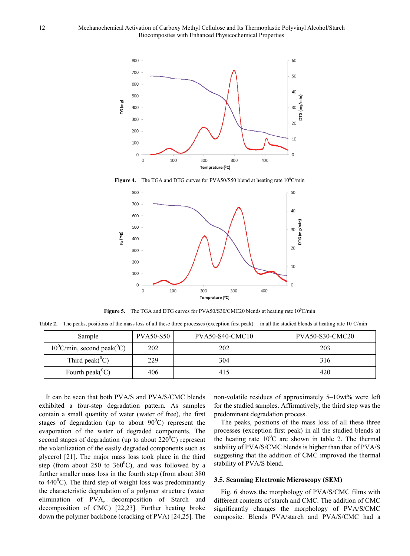

**Figure 4.** The TGA and DTG curves for PVA50/S50 blend at heating rate  $10^{\circ}$ C/min



Figure 5. The TGA and DTG curves for PVA50/S30/CMC20 blends at heating rate 10<sup>0</sup>C/min

Table 2. The peaks, positions of the mass loss of all these three processes (exception first peak) in all the studied blends at heating rate 10<sup>0</sup>C/min

| Sample                                         | <b>PVA50-S50</b> | <b>PVA50-S40-CMC10</b> | <b>PVA50-S30-CMC20</b> |
|------------------------------------------------|------------------|------------------------|------------------------|
| $10^{\circ}$ C/min, second peak( $^{\circ}$ C) | 202              | 202                    | 203                    |
| Third peak( ${}^0C$ )                          | 229              | 304                    | 316                    |
| Fourth peak( ${}^{0}C$ )                       | 406              | 415                    | 420                    |

It can be seen that both PVA/S and PVA/S/CMC blends exhibited a four-step degradation pattern. As samples contain a small quantity of water (water of free), the first stages of degradation (up to about  $90^{\circ}$ C) represent the evaporation of the water of degraded components. The second stages of degradation (up to about  $220^{\circ}$ C) represent the volatilization of the easily degraded components such as glycerol [21]. The major mass loss took place in the third step (from about 250 to  $360^{\circ}$ C), and was followed by a further smaller mass loss in the fourth step (from about 380 to  $440^{\circ}$ C). The third step of weight loss was predominantly the characteristic degradation of a polymer structure (water elimination of PVA, decomposition of Starch and decomposition of CMC) [22,23]. Further heating broke down the polymer backbone (cracking of PVA) [24,25]. The

non-volatile residues of approximately 5–10wt% were left for the studied samples. Affirmatively, the third step was the predominant degradation process.

The peaks, positions of the mass loss of all these three processes (exception first peak) in all the studied blends at the heating rate  $10^{0}$ C are shown in table 2. The thermal stability of PVA/S/CMC blends is higher than that of PVA/S suggesting that the addition of CMC improved the thermal stability of PVA/S blend.

#### **3.5. Scanning Electronic Microscopy (SEM)**

Fig. 6 shows the morphology of PVA/S/CMC films with different contents of starch and CMC. The addition of CMC significantly changes the morphology of PVA/S/CMC composite. Blends PVA/starch and PVA/S/CMC had a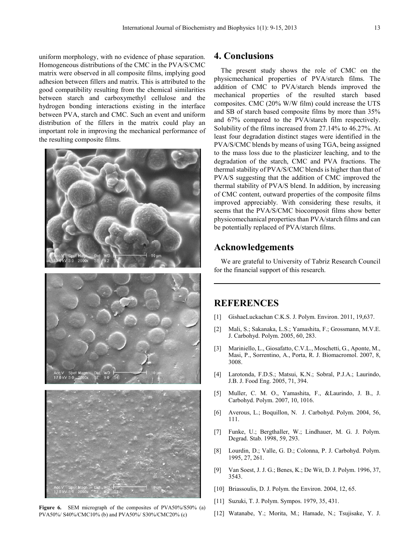uniform morphology, with no evidence of phase separation. Homogeneous distributions of the CMC in the PVA/S/CMC matrix were observed in all composite films, implying good adhesion between fillers and matrix. This is attributed to the good compatibility resulting from the chemical similarities between starch and carboxymethyl cellulose and the hydrogen bonding interactions existing in the interface between PVA, starch and CMC. Such an event and uniform distribution of the fillers in the matrix could play an important role in improving the mechanical performance of the resulting composite films.





![](_page_4_Picture_4.jpeg)

**Figure 6.** SEM micrograph of the composites of PVA50%/S50% (a) PVA50%/ S40%/CMC10% (b) and PVA50%/ S30%/CMC20% (c)

# **4. Conclusions**

The present study shows the role of CMC on the physicmechanical properties of PVA/starch films. The addition of CMC to PVA/starch blends improved the mechanical properties of the resulted starch based composites. CMC (20% W/W film) could increase the UTS and SB of starch based composite films by more than 35% and 67% compared to the PVA/starch film respectively. Solubility of the films increased from 27.14% to 46.27%. At least four degradation distinct stages were identified in the PVA/S/CMC blends by means of using TGA, being assigned to the mass loss due to the plasticizer leaching, and to the degradation of the starch, CMC and PVA fractions. The thermal stability of PVA/S/CMC blends is higher than that of PVA/S suggesting that the addition of CMC improved the thermal stability of PVA/S blend. In addition, by increasing of CMC content, outward properties of the composite films improved appreciably. With considering these results, it seems that the PVA/S/CMC biocomposit films show better physicomechanical properties than PVA/starch films and can be potentially replaced of PVA/starch films.

# **Acknowledgements**

We are grateful to University of Tabriz Research Council for the financial support of this research.

## **REFERENCES**

- [1] GishaeLuckachan C.K.S. J. Polym. Environ. 2011, 19,637.
- [2] Mali, S.; Sakanaka, L.S.; Yamashita, F.; Grossmann, M.V.E. J. Carbohyd. Polym. 2005, 60, 283.
- [3] Mariniello, L., Giosafatto, C.V.L., Moschetti, G., Aponte, M., Masi, P., Sorrentino, A., Porta, R. J. Biomacromol. 2007, 8, 3008.
- [4] Larotonda, F.D.S.; Matsui, K.N.; Sobral, P.J.A.; Laurindo, J.B. J. Food Eng. 2005, 71, 394.
- [5] Muller, C. M. O., Yamashita, F., &Laurindo, J. B., J. Carbohyd. Polym. 2007, 10, 1016.
- [6] Averous, L.; Boquillon, N. J. Carbohyd. Polym. 2004, 56, 111.
- [7] Funke, U.; Bergthaller, W.; Lindhauer, M. G. J. Polym. Degrad. Stab. 1998, 59, 293.
- [8] Lourdin, D.; Valle, G. D.; Colonna, P. J. Carbohyd. Polym. 1995, 27, 261.
- [9] Van Soest, J. J. G.; Benes, K.; De Wit, D. J. Polym. 1996, 37, 3543.
- [10] Briassoulis, D. J. Polym. the Environ. 2004, 12, 65.
- [11] Suzuki, T. J. Polym. Sympos. 1979, 35, 431.
- [12] Watanabe, Y.; Morita, M.; Hamade, N.; Tsujisake, Y. J.